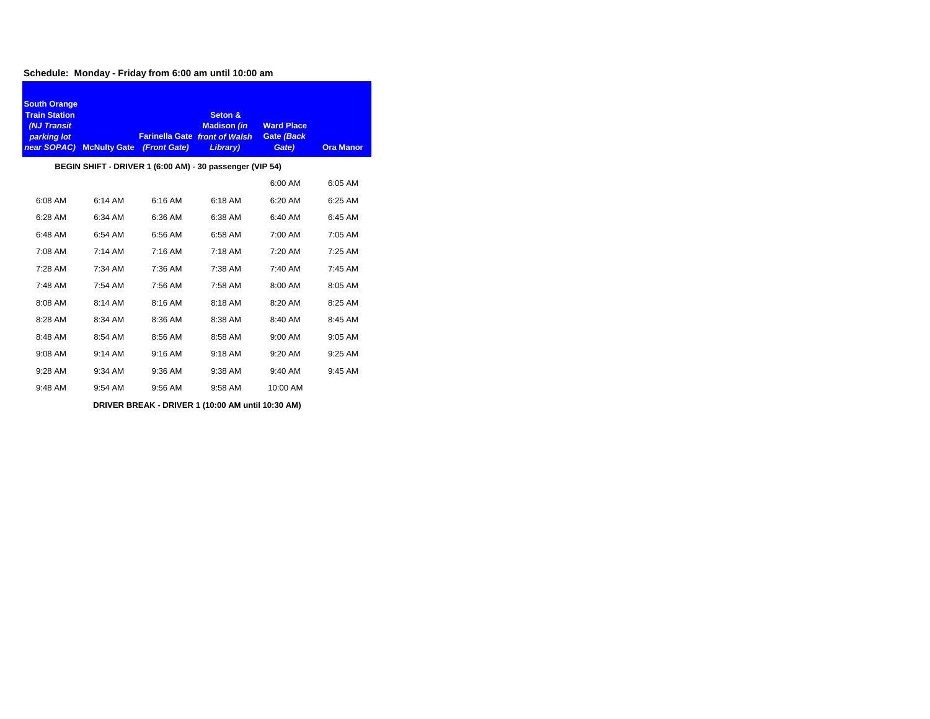#### **Schedule: Monday - Friday from 6:00 am until 10:00 am**

| <b>South Orange</b><br><b>Train Station</b><br>(NJ Transit<br>parking lot | near SOPAC) McNulty Gate (Front Gate) |           | Seton &<br><b>Madison (in</b><br><b>Farinella Gate front of Walsh</b><br>Library) | <b>Ward Place</b><br><b>Gate (Back</b><br>Gate) | <b>Ora Manor</b> |
|---------------------------------------------------------------------------|---------------------------------------|-----------|-----------------------------------------------------------------------------------|-------------------------------------------------|------------------|
|                                                                           |                                       |           | BEGIN SHIFT - DRIVER 1 (6:00 AM) - 30 passenger (VIP 54)                          |                                                 |                  |
|                                                                           |                                       |           |                                                                                   | 6:00 AM                                         | 6:05 AM          |
| 6:08 AM                                                                   | 6:14 AM                               | 6:16 AM   | 6:18 AM                                                                           | 6:20 AM                                         | 6:25 AM          |
| 6:28 AM                                                                   | 6:34 AM                               | 6:36 AM   | 6:38 AM                                                                           | 6:40 AM                                         | 6:45 AM          |
| 6:48 AM                                                                   | 6:54 AM                               | 6:56 AM   | 6:58 AM                                                                           | 7:00 AM                                         | 7:05 AM          |
| 7:08 AM                                                                   | $7:14 \, \text{AM}$                   | $7:16$ AM | $7:18$ AM                                                                         | $7:20$ AM                                       | $7:25$ AM        |
| 7:28 AM                                                                   | $7:34$ AM                             | 7:36 AM   | 7:38 AM                                                                           | 7:40 AM                                         | 7:45 AM          |
| 7:48 AM                                                                   | 7:54 AM                               | 7:56 AM   | 7:58 AM                                                                           | 8:00 AM                                         | 8:05 AM          |
| 8:08 AM                                                                   | 8:14 AM                               | 8:16 AM   | 8:18 AM                                                                           | 8:20 AM                                         | 8:25 AM          |
| 8:28 AM                                                                   | 8:34 AM                               | 8:36 AM   | 8:38 AM                                                                           | 8:40 AM                                         | 8:45 AM          |
| 8:48 AM                                                                   | 8:54 AM                               | 8:56 AM   | 8:58 AM                                                                           | 9:00 AM                                         | 9:05 AM          |
| 9:08 AM                                                                   | 9:14 AM                               | 9:16 AM   | 9:18 AM                                                                           | 9:20 AM                                         | 9:25 AM          |
| $9:28$ AM                                                                 | 9:34 AM                               | 9:36 AM   | 9:38 AM                                                                           | 9:40 AM                                         | 9:45 AM          |
| 9:48 AM                                                                   | 9:54 AM                               | 9:56 AM   | 9:58 AM                                                                           | 10:00 AM                                        |                  |
|                                                                           |                                       |           | DRIVER BREAK - DRIVER 1 (10:00 AM until 10:30 AM)                                 |                                                 |                  |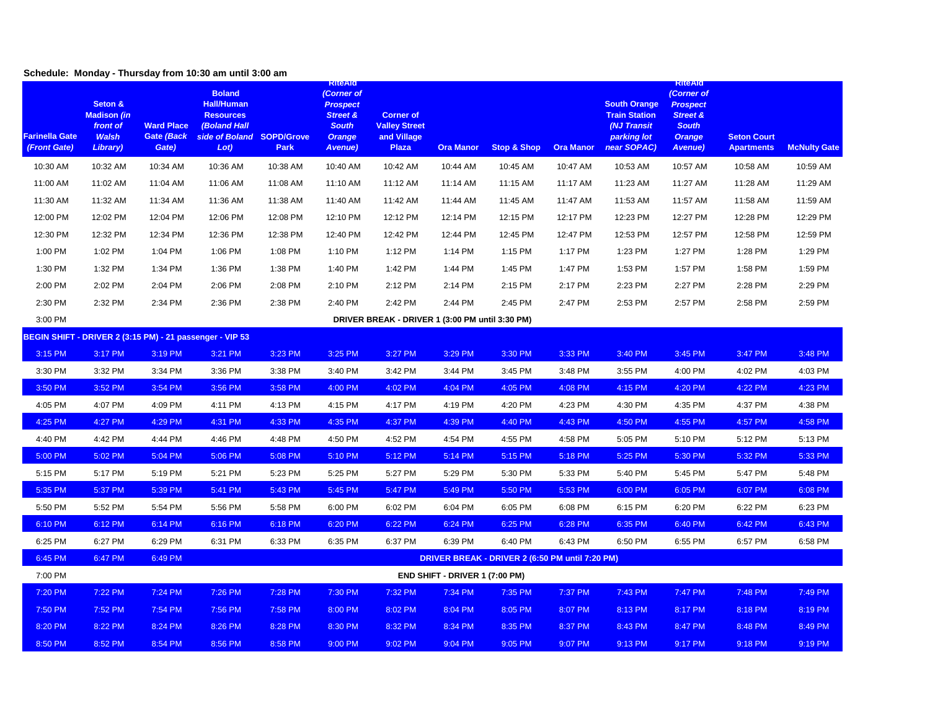# **Schedule: Monday - Thursday from 10:30 am until 3:00 am**

| <b>Farinella Gate</b><br>(Front Gate)                    | Seton &<br><b>Madison (in</b><br>front of<br><b>Walsh</b><br>Library) | <b>Ward Place</b><br>Gate (Back<br>Gate) | <b>Boland</b><br><b>Hall/Human</b><br><b>Resources</b><br><b>(Boland Hall</b><br>side of Boland SOPD/Grove<br>Lot) | Park     | <b>KiteAld</b><br>(Corner of<br><b>Prospect</b><br><b>Street &amp;</b><br><b>South</b><br><b>Orange</b><br>Avenue) | <b>Corner of</b><br><b>Valley Street</b><br>and Village<br><b>Plaza</b> | <b>Ora Manor</b>               | <b>Stop &amp; Shop</b>                          | <b>Ora Manor</b> | <b>South Orange</b><br><b>Train Station</b><br>(NJ Transit<br>parking lot<br>near SOPAC) | <b>KIteAld</b><br>(Corner of<br><b>Prospect</b><br><b>Street &amp;</b><br><b>South</b><br><b>Orange</b><br><b>Avenue</b> ) | <b>Seton Court</b><br><b>Apartments</b> | <b>McNulty Gate</b> |
|----------------------------------------------------------|-----------------------------------------------------------------------|------------------------------------------|--------------------------------------------------------------------------------------------------------------------|----------|--------------------------------------------------------------------------------------------------------------------|-------------------------------------------------------------------------|--------------------------------|-------------------------------------------------|------------------|------------------------------------------------------------------------------------------|----------------------------------------------------------------------------------------------------------------------------|-----------------------------------------|---------------------|
| 10:30 AM                                                 | 10:32 AM                                                              | 10:34 AM                                 | 10:36 AM                                                                                                           | 10:38 AM | 10:40 AM                                                                                                           | 10:42 AM                                                                | 10:44 AM                       | 10:45 AM                                        | 10:47 AM         | 10:53 AM                                                                                 | 10:57 AM                                                                                                                   | 10:58 AM                                | 10:59 AM            |
| 11:00 AM                                                 | 11:02 AM                                                              | 11:04 AM                                 | 11:06 AM                                                                                                           | 11:08 AM | 11:10 AM                                                                                                           | 11:12 AM                                                                | 11:14 AM                       | 11:15 AM                                        | 11:17 AM         | 11:23 AM                                                                                 | 11:27 AM                                                                                                                   | 11:28 AM                                | 11:29 AM            |
| 11:30 AM                                                 | 11:32 AM                                                              | 11:34 AM                                 | 11:36 AM                                                                                                           | 11:38 AM | 11:40 AM                                                                                                           | 11:42 AM                                                                | 11:44 AM                       | 11:45 AM                                        | 11:47 AM         | 11:53 AM                                                                                 | 11:57 AM                                                                                                                   | 11:58 AM                                | 11:59 AM            |
| 12:00 PM                                                 | 12:02 PM                                                              | 12:04 PM                                 | 12:06 PM                                                                                                           | 12:08 PM | 12:10 PM                                                                                                           | 12:12 PM                                                                | 12:14 PM                       | 12:15 PM                                        | 12:17 PM         | 12:23 PM                                                                                 | 12:27 PM                                                                                                                   | 12:28 PM                                | 12:29 PM            |
| 12:30 PM                                                 | 12:32 PM                                                              | 12:34 PM                                 | 12:36 PM                                                                                                           | 12:38 PM | 12:40 PM                                                                                                           | 12:42 PM                                                                | 12:44 PM                       | 12:45 PM                                        | 12:47 PM         | 12:53 PM                                                                                 | 12:57 PM                                                                                                                   | 12:58 PM                                | 12:59 PM            |
| 1:00 PM                                                  | 1:02 PM                                                               | 1:04 PM                                  | 1:06 PM                                                                                                            | 1:08 PM  | 1:10 PM                                                                                                            | 1:12 PM                                                                 | 1:14 PM                        | 1:15 PM                                         | 1:17 PM          | 1:23 PM                                                                                  | 1:27 PM                                                                                                                    | 1:28 PM                                 | 1:29 PM             |
| 1:30 PM                                                  | 1:32 PM                                                               | 1:34 PM                                  | 1:36 PM                                                                                                            | 1:38 PM  | 1:40 PM                                                                                                            | 1:42 PM                                                                 | 1:44 PM                        | 1:45 PM                                         | 1:47 PM          | 1:53 PM                                                                                  | 1:57 PM                                                                                                                    | 1:58 PM                                 | 1:59 PM             |
| 2:00 PM                                                  | 2:02 PM                                                               | 2:04 PM                                  | 2:06 PM                                                                                                            | 2:08 PM  | 2:10 PM                                                                                                            | 2:12 PM                                                                 | 2:14 PM                        | 2:15 PM                                         | 2:17 PM          | 2:23 PM                                                                                  | 2:27 PM                                                                                                                    | 2:28 PM                                 | 2:29 PM             |
| 2:30 PM                                                  | 2:32 PM                                                               | 2:34 PM                                  | 2:36 PM                                                                                                            | 2:38 PM  | 2:40 PM                                                                                                            | 2:42 PM                                                                 | 2:44 PM                        | 2:45 PM                                         | 2:47 PM          | 2:53 PM                                                                                  | 2:57 PM                                                                                                                    | 2:58 PM                                 | 2:59 PM             |
| 3:00 PM                                                  |                                                                       |                                          |                                                                                                                    |          |                                                                                                                    | DRIVER BREAK - DRIVER 1 (3:00 PM until 3:30 PM)                         |                                |                                                 |                  |                                                                                          |                                                                                                                            |                                         |                     |
| BEGIN SHIFT - DRIVER 2 (3:15 PM) - 21 passenger - VIP 53 |                                                                       |                                          |                                                                                                                    |          |                                                                                                                    |                                                                         |                                |                                                 |                  |                                                                                          |                                                                                                                            |                                         |                     |
| 3:15 PM                                                  | 3:17 PM                                                               | 3:19 PM                                  | 3:21 PM                                                                                                            | 3:23 PM  | 3:25 PM                                                                                                            | 3:27 PM                                                                 | 3:29 PM                        | 3:30 PM                                         | 3:33 PM          | 3:40 PM                                                                                  | 3:45 PM                                                                                                                    | 3:47 PM                                 | 3:48 PM             |
| 3:30 PM                                                  | 3:32 PM                                                               | 3:34 PM                                  | 3:36 PM                                                                                                            | 3:38 PM  | 3:40 PM                                                                                                            | 3:42 PM                                                                 | 3:44 PM                        | 3:45 PM                                         | 3:48 PM          | 3:55 PM                                                                                  | 4:00 PM                                                                                                                    | 4:02 PM                                 | 4:03 PM             |
| 3:50 PM                                                  | 3:52 PM                                                               | 3:54 PM                                  | 3:56 PM                                                                                                            | 3:58 PM  | 4:00 PM                                                                                                            | 4:02 PM                                                                 | 4:04 PM                        | 4:05 PM                                         | 4:08 PM          | 4:15 PM                                                                                  | 4:20 PM                                                                                                                    | 4:22 PM                                 | 4:23 PM             |
| 4:05 PM                                                  | 4:07 PM                                                               | 4:09 PM                                  | 4:11 PM                                                                                                            | 4:13 PM  | 4:15 PM                                                                                                            | 4:17 PM                                                                 | 4:19 PM                        | 4:20 PM                                         | 4:23 PM          | 4:30 PM                                                                                  | 4:35 PM                                                                                                                    | 4:37 PM                                 | 4:38 PM             |
| 4:25 PM                                                  | 4:27 PM                                                               | 4:29 PM                                  | 4:31 PM                                                                                                            | 4:33 PM  | 4:35 PM                                                                                                            | 4:37 PM                                                                 | 4:39 PM                        | 4:40 PM                                         | 4:43 PM          | 4:50 PM                                                                                  | 4:55 PM                                                                                                                    | 4:57 PM                                 | 4:58 PM             |
| 4:40 PM                                                  | 4:42 PM                                                               | 4:44 PM                                  | 4:46 PM                                                                                                            | 4:48 PM  | 4:50 PM                                                                                                            | 4:52 PM                                                                 | 4:54 PM                        | 4:55 PM                                         | 4:58 PM          | 5:05 PM                                                                                  | 5:10 PM                                                                                                                    | 5:12 PM                                 | 5:13 PM             |
| 5:00 PM                                                  | 5:02 PM                                                               | 5:04 PM                                  | 5:06 PM                                                                                                            | 5:08 PM  | 5:10 PM                                                                                                            | 5:12 PM                                                                 | 5:14 PM                        | 5:15 PM                                         | 5:18 PM          | 5:25 PM                                                                                  | 5:30 PM                                                                                                                    | 5:32 PM                                 | 5:33 PM             |
| 5:15 PM                                                  | 5:17 PM                                                               | 5:19 PM                                  | 5:21 PM                                                                                                            | 5:23 PM  | 5:25 PM                                                                                                            | 5:27 PM                                                                 | 5:29 PM                        | 5:30 PM                                         | 5:33 PM          | 5:40 PM                                                                                  | 5:45 PM                                                                                                                    | 5:47 PM                                 | 5:48 PM             |
| 5:35 PM                                                  | 5:37 PM                                                               | 5:39 PM                                  | 5:41 PM                                                                                                            | 5:43 PM  | 5:45 PM                                                                                                            | 5:47 PM                                                                 | 5:49 PM                        | 5:50 PM                                         | 5:53 PM          | 6:00 PM                                                                                  | 6:05 PM                                                                                                                    | 6:07 PM                                 | 6:08 PM             |
| 5:50 PM                                                  | 5:52 PM                                                               | 5:54 PM                                  | 5:56 PM                                                                                                            | 5:58 PM  | 6:00 PM                                                                                                            | 6:02 PM                                                                 | 6:04 PM                        | 6:05 PM                                         | 6:08 PM          | 6:15 PM                                                                                  | 6:20 PM                                                                                                                    | 6:22 PM                                 | 6:23 PM             |
| 6:10 PM                                                  | 6:12 PM                                                               | 6:14 PM                                  | 6:16 PM                                                                                                            | 6:18 PM  | 6:20 PM                                                                                                            | 6:22 PM                                                                 | 6:24 PM                        | 6:25 PM                                         | 6:28 PM          | 6:35 PM                                                                                  | 6:40 PM                                                                                                                    | 6:42 PM                                 | 6:43 PM             |
| 6:25 PM                                                  | 6:27 PM                                                               | 6:29 PM                                  | 6:31 PM                                                                                                            | 6:33 PM  | 6:35 PM                                                                                                            | 6:37 PM                                                                 | 6:39 PM                        | 6:40 PM                                         | 6:43 PM          | 6:50 PM                                                                                  | 6:55 PM                                                                                                                    | 6:57 PM                                 | 6:58 PM             |
| 6:45 PM                                                  | 6:47 PM                                                               | 6:49 PM                                  |                                                                                                                    |          |                                                                                                                    |                                                                         |                                | DRIVER BREAK - DRIVER 2 (6:50 PM until 7:20 PM) |                  |                                                                                          |                                                                                                                            |                                         |                     |
| 7:00 PM                                                  |                                                                       |                                          |                                                                                                                    |          |                                                                                                                    |                                                                         | END SHIFT - DRIVER 1 (7:00 PM) |                                                 |                  |                                                                                          |                                                                                                                            |                                         |                     |
| 7:20 PM                                                  | 7:22 PM                                                               | 7:24 PM                                  | 7:26 PM                                                                                                            | 7:28 PM  | 7:30 PM                                                                                                            | 7:32 PM                                                                 | 7:34 PM                        | 7:35 PM                                         | 7:37 PM          | 7:43 PM                                                                                  | 7:47 PM                                                                                                                    | 7:48 PM                                 | 7:49 PM             |
| 7:50 PM                                                  | 7:52 PM                                                               | 7:54 PM                                  | 7:56 PM                                                                                                            | 7:58 PM  | 8:00 PM                                                                                                            | 8:02 PM                                                                 | 8:04 PM                        | 8:05 PM                                         | 8:07 PM          | 8:13 PM                                                                                  | 8:17 PM                                                                                                                    | 8:18 PM                                 | 8:19 PM             |
| 8:20 PM                                                  | 8:22 PM                                                               | 8:24 PM                                  | 8:26 PM                                                                                                            | 8:28 PM  | 8:30 PM                                                                                                            | 8:32 PM                                                                 | 8:34 PM                        | 8:35 PM                                         | 8:37 PM          | 8:43 PM                                                                                  | 8:47 PM                                                                                                                    | 8:48 PM                                 | 8:49 PM             |
| 8:50 PM                                                  | 8:52 PM                                                               | 8:54 PM                                  | 8:56 PM                                                                                                            | 8:58 PM  | 9:00 PM                                                                                                            | 9:02 PM                                                                 | 9:04 PM                        | 9:05 PM                                         | 9:07 PM          | 9:13 PM                                                                                  | 9:17 PM                                                                                                                    | 9:18 PM                                 | 9:19 PM             |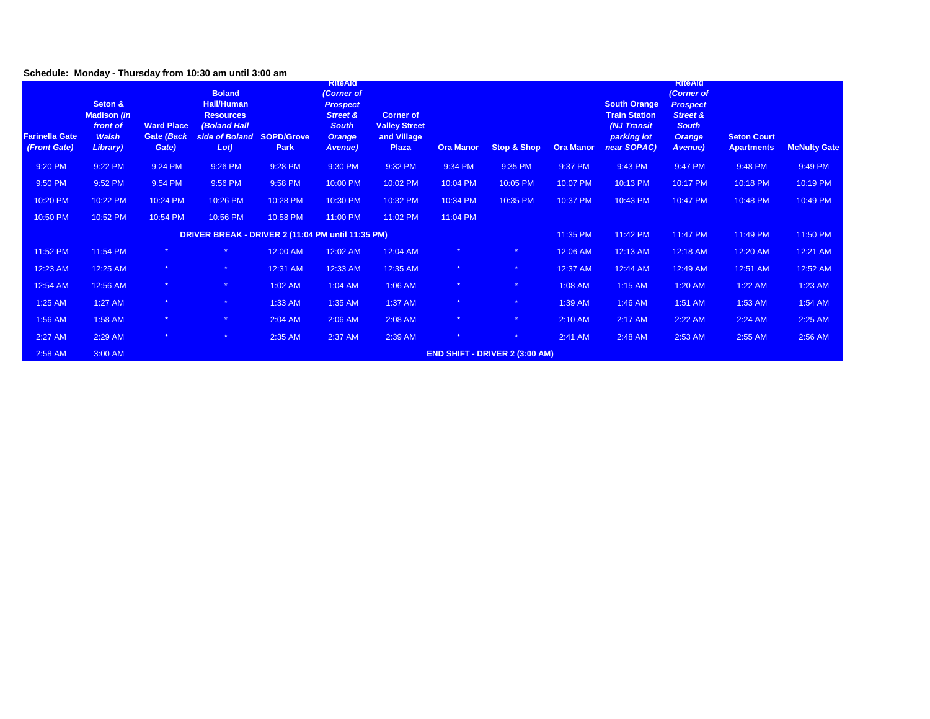## **Schedule: Monday - Thursday from 10:30 am until 3:00 am**

| <b>Farinella Gate</b><br>(Front Gate) | Seton &<br><b>Madison (in</b><br>front of<br><b>Walsh</b><br>Library) | <b>Ward Place</b><br>Gate (Back<br>Gate) | <b>Boland</b><br><b>Hall/Human</b><br><b>Resources</b><br><b>(Boland Hall</b><br>side of Boland SOPD/Grove<br>Lot) | Park     | <b>KIteAIG</b><br>(Corner of<br><b>Prospect</b><br><b>Street &amp;</b><br><b>South</b><br><b>Orange</b><br>Avenue) | <b>Corner of</b><br><b>Valley Street</b><br>and Village<br>Plaza | <b>Ora Manor</b> | <b>Stop &amp; Shop</b>                | <b>Ora Manor</b> | <b>South Orange</b><br><b>Train Station</b><br>(NJ Transit<br>parking lot<br>near SOPAC) | <b>RITEAIO</b><br>(Corner of<br><b>Prospect</b><br><b>Street &amp;</b><br><b>South</b><br><b>Orange</b><br>Avenue) | <b>Seton Court</b><br><b>Apartments</b> | <b>McNulty Gate</b> |
|---------------------------------------|-----------------------------------------------------------------------|------------------------------------------|--------------------------------------------------------------------------------------------------------------------|----------|--------------------------------------------------------------------------------------------------------------------|------------------------------------------------------------------|------------------|---------------------------------------|------------------|------------------------------------------------------------------------------------------|--------------------------------------------------------------------------------------------------------------------|-----------------------------------------|---------------------|
| 9:20 PM                               | 9:22 PM                                                               | 9:24 PM                                  | 9:26 PM                                                                                                            | 9:28 PM  | 9:30 PM                                                                                                            | 9:32 PM                                                          | 9:34 PM          | 9:35 PM                               | 9:37 PM          | 9:43 PM                                                                                  | 9:47 PM                                                                                                            | 9:48 PM                                 | 9:49 PM             |
| 9:50 PM                               | 9:52 PM                                                               | 9:54 PM                                  | 9:56 PM                                                                                                            | 9:58 PM  | 10:00 PM                                                                                                           | 10:02 PM                                                         | 10:04 PM         | 10:05 PM                              | 10:07 PM         | 10:13 PM                                                                                 | 10:17 PM                                                                                                           | 10:18 PM                                | 10:19 PM            |
| 10:20 PM                              | 10:22 PM                                                              | 10:24 PM                                 | 10:26 PM                                                                                                           | 10:28 PM | 10:30 PM                                                                                                           | 10:32 PM                                                         | 10:34 PM         | 10:35 PM                              | 10:37 PM         | 10:43 PM                                                                                 | 10:47 PM                                                                                                           | 10:48 PM                                | 10:49 PM            |
| 10:50 PM                              | 10:52 PM                                                              | 10:54 PM                                 | 10:56 PM                                                                                                           | 10:58 PM | 11:00 PM                                                                                                           | 11:02 PM                                                         | 11:04 PM         |                                       |                  |                                                                                          |                                                                                                                    |                                         |                     |
|                                       |                                                                       |                                          | DRIVER BREAK - DRIVER 2 (11:04 PM until 11:35 PM)                                                                  |          |                                                                                                                    |                                                                  |                  |                                       | 11:35 PM         | 11:42 PM                                                                                 | 11:47 PM                                                                                                           | 11:49 PM                                | 11:50 PM            |
| 11:52 PM                              | 11:54 PM                                                              |                                          |                                                                                                                    | 12:00 AM | 12:02 AM                                                                                                           | 12:04 AM                                                         |                  |                                       | 12:06 AM         | 12:13 AM                                                                                 | 12:18 AM                                                                                                           | 12:20 AM                                | 12:21 AM            |
| 12:23 AM                              | 12:25 AM                                                              | 来。                                       | $\star$                                                                                                            | 12:31 AM | 12:33 AM                                                                                                           | 12:35 AM                                                         | 来。               | $\star$                               | 12:37 AM         | 12:44 AM                                                                                 | 12:49 AM                                                                                                           | 12:51 AM                                | 12:52 AM            |
| 12:54 AM                              | 12:56 AM                                                              | $\star$                                  | $\star$                                                                                                            | 1:02 AM  | 1:04 AM                                                                                                            | 1:06 AM                                                          |                  | $\star$                               | 1:08 AM          | 1:15 AM                                                                                  | 1:20 AM                                                                                                            | 1:22 AM                                 | 1:23 AM             |
| 1:25 AM                               | 1:27 AM                                                               | $\star$                                  | $\star$                                                                                                            | 1:33 AM  | 1:35 AM                                                                                                            | 1:37 AM                                                          |                  | $\star$                               | 1:39 AM          | 1:46 AM                                                                                  | 1:51 AM                                                                                                            | 1:53 AM                                 | 1:54 AM             |
| 1:56 AM                               | 1:58 AM                                                               | $\star$                                  | $\star$                                                                                                            | 2:04 AM  | 2:06 AM                                                                                                            | 2:08 AM                                                          |                  | $\star$                               | 2:10 AM          | 2:17 AM                                                                                  | 2:22 AM                                                                                                            | 2:24 AM                                 | 2:25 AM             |
| 2:27 AM                               | 2:29 AM                                                               | $\star$                                  | $\star$                                                                                                            | 2:35 AM  | 2:37 AM                                                                                                            | 2:39 AM                                                          |                  | $\star$                               | 2:41 AM          | 2:48 AM                                                                                  | 2:53 AM                                                                                                            | 2:55 AM                                 | 2:56 AM             |
| 2:58 AM                               | 3:00 AM                                                               |                                          |                                                                                                                    |          |                                                                                                                    |                                                                  |                  | <b>END SHIFT - DRIVER 2 (3:00 AM)</b> |                  |                                                                                          |                                                                                                                    |                                         |                     |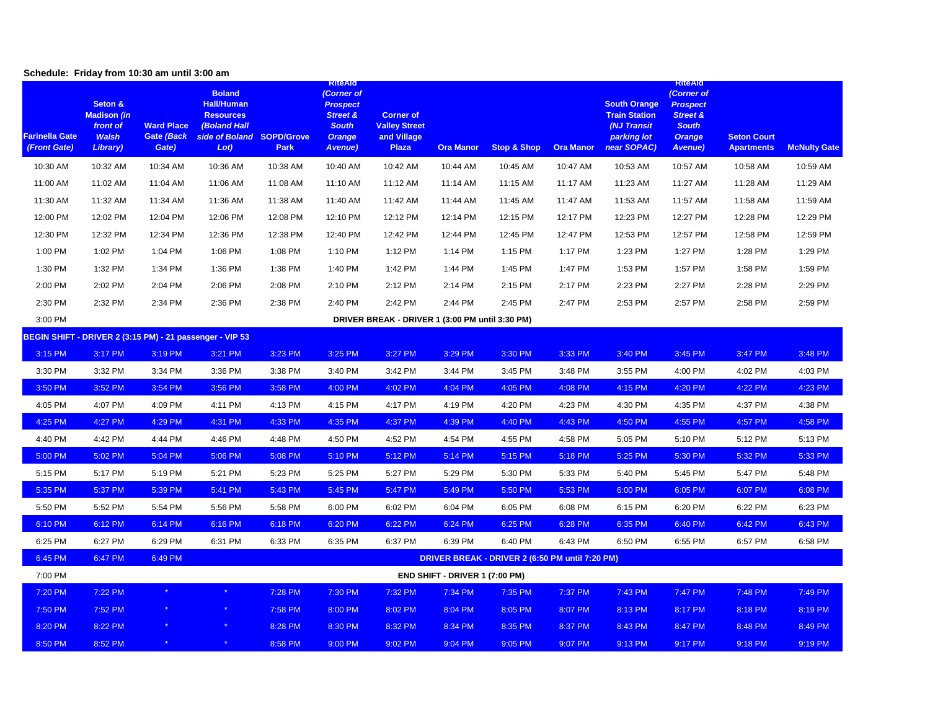### **Schedule: Friday from 10:30 am until 3:00 am**

| <b>Farinella Gate</b><br>(Front Gate) | Seton &<br><b>Madison (in</b><br>front of<br><b>Walsh</b><br>Library) | <b>Ward Place</b><br>Gate (Back<br>Gate) | <b>Boland</b><br><b>Hall/Human</b><br><b>Resources</b><br><b>(Boland Hall</b><br>side of Boland SOPD/Grove<br>Lot) | Park     | <b>KiteAld</b><br>(Corner of<br><b>Prospect</b><br><b>Street &amp;</b><br><b>South</b><br><b>Orange</b><br>Avenue) | <b>Corner of</b><br><b>Valley Street</b><br>and Village<br><b>Plaza</b> | <b>Ora Manor</b>               | <b>Stop &amp; Shop</b>                          | <b>Ora Manor</b> | <b>South Orange</b><br><b>Train Station</b><br>(NJ Transit<br>parking lot<br>near SOPAC) | <b>KIteAId</b><br>(Corner of<br><b>Prospect</b><br><b>Street &amp;</b><br><b>South</b><br><b>Orange</b><br><b>Avenue</b> ) | <b>Seton Court</b><br><b>Apartments</b> | <b>McNulty Gate</b> |
|---------------------------------------|-----------------------------------------------------------------------|------------------------------------------|--------------------------------------------------------------------------------------------------------------------|----------|--------------------------------------------------------------------------------------------------------------------|-------------------------------------------------------------------------|--------------------------------|-------------------------------------------------|------------------|------------------------------------------------------------------------------------------|----------------------------------------------------------------------------------------------------------------------------|-----------------------------------------|---------------------|
| 10:30 AM                              | 10:32 AM                                                              | 10:34 AM                                 | 10:36 AM                                                                                                           | 10:38 AM | 10:40 AM                                                                                                           | 10:42 AM                                                                | 10:44 AM                       | 10:45 AM                                        | 10:47 AM         | 10:53 AM                                                                                 | 10:57 AM                                                                                                                   | 10:58 AM                                | 10:59 AM            |
| 11:00 AM                              | 11:02 AM                                                              | 11:04 AM                                 | 11:06 AM                                                                                                           | 11:08 AM | 11:10 AM                                                                                                           | 11:12 AM                                                                | 11:14 AM                       | 11:15 AM                                        | 11:17 AM         | 11:23 AM                                                                                 | 11:27 AM                                                                                                                   | 11:28 AM                                | 11:29 AM            |
| 11:30 AM                              | 11:32 AM                                                              | 11:34 AM                                 | 11:36 AM                                                                                                           | 11:38 AM | 11:40 AM                                                                                                           | 11:42 AM                                                                | 11:44 AM                       | 11:45 AM                                        | 11:47 AM         | 11:53 AM                                                                                 | 11:57 AM                                                                                                                   | 11:58 AM                                | 11:59 AM            |
| 12:00 PM                              | 12:02 PM                                                              | 12:04 PM                                 | 12:06 PM                                                                                                           | 12:08 PM | 12:10 PM                                                                                                           | 12:12 PM                                                                | 12:14 PM                       | 12:15 PM                                        | 12:17 PM         | 12:23 PM                                                                                 | 12:27 PM                                                                                                                   | 12:28 PM                                | 12:29 PM            |
| 12:30 PM                              | 12:32 PM                                                              | 12:34 PM                                 | 12:36 PM                                                                                                           | 12:38 PM | 12:40 PM                                                                                                           | 12:42 PM                                                                | 12:44 PM                       | 12:45 PM                                        | 12:47 PM         | 12:53 PM                                                                                 | 12:57 PM                                                                                                                   | 12:58 PM                                | 12:59 PM            |
| 1:00 PM                               | 1:02 PM                                                               | 1:04 PM                                  | 1:06 PM                                                                                                            | 1:08 PM  | 1:10 PM                                                                                                            | 1:12 PM                                                                 | 1:14 PM                        | 1:15 PM                                         | 1:17 PM          | 1:23 PM                                                                                  | 1:27 PM                                                                                                                    | 1:28 PM                                 | 1:29 PM             |
| 1:30 PM                               | 1:32 PM                                                               | 1:34 PM                                  | 1:36 PM                                                                                                            | 1:38 PM  | 1:40 PM                                                                                                            | 1:42 PM                                                                 | 1:44 PM                        | 1:45 PM                                         | 1:47 PM          | 1:53 PM                                                                                  | 1:57 PM                                                                                                                    | 1:58 PM                                 | 1:59 PM             |
| 2:00 PM                               | 2:02 PM                                                               | 2:04 PM                                  | 2:06 PM                                                                                                            | 2:08 PM  | 2:10 PM                                                                                                            | 2:12 PM                                                                 | 2:14 PM                        | 2:15 PM                                         | 2:17 PM          | 2:23 PM                                                                                  | 2:27 PM                                                                                                                    | 2:28 PM                                 | 2:29 PM             |
| 2:30 PM                               | 2:32 PM                                                               | 2:34 PM                                  | 2:36 PM                                                                                                            | 2:38 PM  | 2:40 PM                                                                                                            | 2:42 PM                                                                 | 2:44 PM                        | 2:45 PM                                         | 2:47 PM          | 2:53 PM                                                                                  | 2:57 PM                                                                                                                    | 2:58 PM                                 | 2:59 PM             |
| 3:00 PM                               |                                                                       |                                          |                                                                                                                    |          |                                                                                                                    | DRIVER BREAK - DRIVER 1 (3:00 PM until 3:30 PM)                         |                                |                                                 |                  |                                                                                          |                                                                                                                            |                                         |                     |
|                                       |                                                                       |                                          | BEGIN SHIFT - DRIVER 2 (3:15 PM) - 21 passenger - VIP 53                                                           |          |                                                                                                                    |                                                                         |                                |                                                 |                  |                                                                                          |                                                                                                                            |                                         |                     |
| 3:15 PM                               | 3:17 PM                                                               | 3:19 PM                                  | 3:21 PM                                                                                                            | 3:23 PM  | 3:25 PM                                                                                                            | 3:27 PM                                                                 | 3:29 PM                        | 3:30 PM                                         | 3:33 PM          | 3:40 PM                                                                                  | 3:45 PM                                                                                                                    | 3:47 PM                                 | 3:48 PM             |
| 3:30 PM                               | 3:32 PM                                                               | 3:34 PM                                  | 3:36 PM                                                                                                            | 3:38 PM  | 3:40 PM                                                                                                            | 3:42 PM                                                                 | 3:44 PM                        | 3:45 PM                                         | 3:48 PM          | 3:55 PM                                                                                  | 4:00 PM                                                                                                                    | 4:02 PM                                 | 4:03 PM             |
| 3:50 PM                               | 3:52 PM                                                               | 3:54 PM                                  | 3:56 PM                                                                                                            | 3:58 PM  | 4:00 PM                                                                                                            | 4:02 PM                                                                 | 4:04 PM                        | 4:05 PM                                         | 4:08 PM          | 4:15 PM                                                                                  | 4:20 PM                                                                                                                    | 4:22 PM                                 | 4:23 PM             |
| 4:05 PM                               | 4:07 PM                                                               | 4:09 PM                                  | 4:11 PM                                                                                                            | 4:13 PM  | 4:15 PM                                                                                                            | 4:17 PM                                                                 | 4:19 PM                        | 4:20 PM                                         | 4:23 PM          | 4:30 PM                                                                                  | 4:35 PM                                                                                                                    | 4:37 PM                                 | 4:38 PM             |
| 4:25 PM                               | 4:27 PM                                                               | 4:29 PM                                  | 4:31 PM                                                                                                            | 4:33 PM  | 4:35 PM                                                                                                            | 4:37 PM                                                                 | 4:39 PM                        | 4:40 PM                                         | 4:43 PM          | 4:50 PM                                                                                  | 4:55 PM                                                                                                                    | 4:57 PM                                 | 4:58 PM             |
| 4:40 PM                               | 4:42 PM                                                               | 4:44 PM                                  | 4:46 PM                                                                                                            | 4:48 PM  | 4:50 PM                                                                                                            | 4:52 PM                                                                 | 4:54 PM                        | 4:55 PM                                         | 4:58 PM          | 5:05 PM                                                                                  | 5:10 PM                                                                                                                    | 5:12 PM                                 | 5:13 PM             |
| 5:00 PM                               | 5:02 PM                                                               | 5:04 PM                                  | 5:06 PM                                                                                                            | 5:08 PM  | 5:10 PM                                                                                                            | 5:12 PM                                                                 | 5:14 PM                        | 5:15 PM                                         | 5:18 PM          | 5:25 PM                                                                                  | 5:30 PM                                                                                                                    | 5:32 PM                                 | 5:33 PM             |
| 5:15 PM                               | 5:17 PM                                                               | 5:19 PM                                  | 5:21 PM                                                                                                            | 5:23 PM  | 5:25 PM                                                                                                            | 5:27 PM                                                                 | 5:29 PM                        | 5:30 PM                                         | 5:33 PM          | 5:40 PM                                                                                  | 5:45 PM                                                                                                                    | 5:47 PM                                 | 5:48 PM             |
| 5:35 PM                               | 5:37 PM                                                               | 5:39 PM                                  | 5:41 PM                                                                                                            | 5:43 PM  | 5:45 PM                                                                                                            | 5:47 PM                                                                 | 5:49 PM                        | 5:50 PM                                         | 5:53 PM          | 6:00 PM                                                                                  | 6:05 PM                                                                                                                    | 6:07 PM                                 | 6:08 PM             |
| 5:50 PM                               | 5:52 PM                                                               | 5:54 PM                                  | 5:56 PM                                                                                                            | 5:58 PM  | 6:00 PM                                                                                                            | 6:02 PM                                                                 | 6:04 PM                        | 6:05 PM                                         | 6:08 PM          | 6:15 PM                                                                                  | 6:20 PM                                                                                                                    | 6:22 PM                                 | 6:23 PM             |
| 6:10 PM                               | 6:12 PM                                                               | 6:14 PM                                  | 6:16 PM                                                                                                            | 6:18 PM  | 6:20 PM                                                                                                            | 6:22 PM                                                                 | 6:24 PM                        | 6:25 PM                                         | 6:28 PM          | 6:35 PM                                                                                  | 6:40 PM                                                                                                                    | 6:42 PM                                 | 6:43 PM             |
| 6:25 PM                               | 6:27 PM                                                               | 6:29 PM                                  | 6:31 PM                                                                                                            | 6:33 PM  | 6:35 PM                                                                                                            | 6:37 PM                                                                 | 6:39 PM                        | 6:40 PM                                         | 6:43 PM          | 6:50 PM                                                                                  | 6:55 PM                                                                                                                    | 6:57 PM                                 | 6:58 PM             |
| 6:45 PM                               | 6:47 PM                                                               | 6:49 PM                                  |                                                                                                                    |          |                                                                                                                    |                                                                         |                                | DRIVER BREAK - DRIVER 2 (6:50 PM until 7:20 PM) |                  |                                                                                          |                                                                                                                            |                                         |                     |
| 7:00 PM                               |                                                                       |                                          |                                                                                                                    |          |                                                                                                                    |                                                                         | END SHIFT - DRIVER 1 (7:00 PM) |                                                 |                  |                                                                                          |                                                                                                                            |                                         |                     |
| 7:20 PM                               | 7:22 PM                                                               |                                          |                                                                                                                    | 7:28 PM  | 7:30 PM                                                                                                            | 7:32 PM                                                                 | 7:34 PM                        | 7:35 PM                                         | 7:37 PM          | 7:43 PM                                                                                  | 7:47 PM                                                                                                                    | 7:48 PM                                 | 7:49 PM             |
| 7:50 PM                               | 7:52 PM                                                               |                                          |                                                                                                                    | 7:58 PM  | 8:00 PM                                                                                                            | 8:02 PM                                                                 | 8:04 PM                        | 8:05 PM                                         | 8:07 PM          | 8:13 PM                                                                                  | 8:17 PM                                                                                                                    | 8:18 PM                                 | 8:19 PM             |
| 8:20 PM                               | 8:22 PM                                                               |                                          |                                                                                                                    | 8:28 PM  | 8:30 PM                                                                                                            | 8:32 PM                                                                 | 8:34 PM                        | 8:35 PM                                         | 8:37 PM          | 8:43 PM                                                                                  | 8:47 PM                                                                                                                    | 8:48 PM                                 | 8:49 PM             |
| 8:50 PM                               | 8:52 PM                                                               |                                          |                                                                                                                    | 8:58 PM  | 9:00 PM                                                                                                            | 9:02 PM                                                                 | 9:04 PM                        | 9:05 PM                                         | 9:07 PM          | 9:13 PM                                                                                  | 9:17 PM                                                                                                                    | 9:18 PM                                 | 9:19 PM             |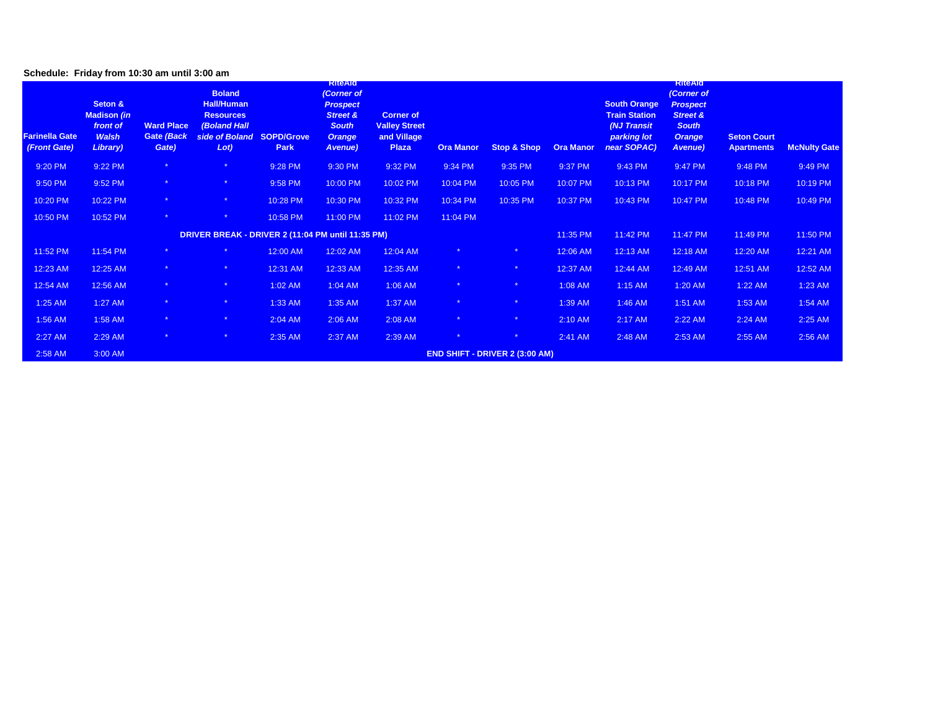### **Schedule: Friday from 10:30 am until 3:00 am**

| <b>Farinella Gate</b><br>(Front Gate) | Seton &<br><b>Madison (in</b><br>front of<br><b>Walsh</b><br>Library) | <b>Ward Place</b><br>Gate (Back<br>Gate) | <b>Boland</b><br><b>Hall/Human</b><br><b>Resources</b><br><b>(Boland Hall</b><br>side of Boland SOPD/Grove<br>Lot) | Park     | <b>KiteAld</b><br>(Corner of<br><b>Prospect</b><br><b>Street &amp;</b><br><b>South</b><br><b>Orange</b><br>Avenue) | <b>Corner of</b><br><b>Valley Street</b><br>and Village<br>Plaza | <b>Ora Manor</b> | <b>Stop &amp; Shop</b>                | <b>Ora Manor</b> | <b>South Orange</b><br><b>Train Station</b><br>(NJ Transit<br>parking lot<br>near SOPAC) | <b>KiteAld</b><br>(Corner of<br><b>Prospect</b><br><b>Street &amp;</b><br><b>South</b><br><b>Orange</b><br><b>Avenue</b> ) | <b>Seton Court</b><br><b>Apartments</b> | <b>McNulty Gate</b> |
|---------------------------------------|-----------------------------------------------------------------------|------------------------------------------|--------------------------------------------------------------------------------------------------------------------|----------|--------------------------------------------------------------------------------------------------------------------|------------------------------------------------------------------|------------------|---------------------------------------|------------------|------------------------------------------------------------------------------------------|----------------------------------------------------------------------------------------------------------------------------|-----------------------------------------|---------------------|
| 9:20 PM                               | 9:22 PM                                                               |                                          | $\star$                                                                                                            | 9:28 PM  | 9:30 PM                                                                                                            | 9:32 PM                                                          | 9:34 PM          | 9:35 PM                               | 9:37 PM          | 9:43 PM                                                                                  | 9:47 PM                                                                                                                    | 9:48 PM                                 | 9:49 PM             |
| 9:50 PM                               | 9:52 PM                                                               | $\star$                                  | $\star$                                                                                                            | 9:58 PM  | 10:00 PM                                                                                                           | 10:02 PM                                                         | 10:04 PM         | 10:05 PM                              | 10:07 PM         | 10:13 PM                                                                                 | 10:17 PM                                                                                                                   | 10:18 PM                                | 10:19 PM            |
| 10:20 PM                              | 10:22 PM                                                              | $\star$                                  | $\star$                                                                                                            | 10:28 PM | 10:30 PM                                                                                                           | 10:32 PM                                                         | 10:34 PM         | 10:35 PM                              | 10:37 PM         | 10:43 PM                                                                                 | 10:47 PM                                                                                                                   | 10:48 PM                                | 10:49 PM            |
| 10:50 PM                              | 10:52 PM                                                              | $*$                                      | $\star$                                                                                                            | 10:58 PM | 11:00 PM                                                                                                           | 11:02 PM                                                         | 11:04 PM         |                                       |                  |                                                                                          |                                                                                                                            |                                         |                     |
|                                       |                                                                       |                                          | DRIVER BREAK - DRIVER 2 (11:04 PM until 11:35 PM)                                                                  |          |                                                                                                                    |                                                                  |                  |                                       | 11:35 PM         | 11:42 PM                                                                                 | 11:47 PM                                                                                                                   | 11:49 PM                                | 11:50 PM            |
| 11:52 PM                              | 11:54 PM                                                              |                                          | $\star$                                                                                                            | 12:00 AM | 12:02 AM                                                                                                           | 12:04 AM                                                         |                  |                                       | 12:06 AM         | 12:13 AM                                                                                 | 12:18 AM                                                                                                                   | 12:20 AM                                | 12:21 AM            |
| 12:23 AM                              | 12:25 AM                                                              | $\star$                                  | $\star$                                                                                                            | 12:31 AM | 12:33 AM                                                                                                           | 12:35 AM                                                         |                  | $\star$                               | 12:37 AM         | 12:44 AM                                                                                 | 12:49 AM                                                                                                                   | 12:51 AM                                | 12:52 AM            |
| 12:54 AM                              | 12:56 AM                                                              | $\star$                                  | $\star$                                                                                                            | 1:02 AM  | 1:04 AM                                                                                                            | 1:06 AM                                                          |                  | $\star$                               | 1:08 AM          | $1:15$ AM                                                                                | 1:20 AM                                                                                                                    | $1:22$ AM                               | 1:23 AM             |
| 1:25 AM                               | 1:27 AM                                                               | $\star$                                  | $\star$                                                                                                            | 1:33 AM  | 1:35 AM                                                                                                            | 1:37 AM                                                          |                  | $\star$                               | 1:39 AM          | 1:46 AM                                                                                  | 1:51 AM                                                                                                                    | 1:53 AM                                 | 1:54 AM             |
| 1:56 AM                               | 1:58 AM                                                               | $\star$                                  | $\star$                                                                                                            | 2:04 AM  | 2:06 AM                                                                                                            | 2:08 AM                                                          |                  | $\star$                               | 2:10 AM          | 2:17 AM                                                                                  | 2:22 AM                                                                                                                    | 2:24 AM                                 | 2:25 AM             |
| $2:27$ AM                             | 2:29 AM                                                               | $\star$                                  | $\star$                                                                                                            | 2:35 AM  | 2:37 AM                                                                                                            | 2:39 AM                                                          |                  | $\star$                               | 2:41 AM          | 2:48 AM                                                                                  | 2:53 AM                                                                                                                    | 2:55 AM                                 | 2:56 AM             |
| 2:58 AM                               | 3:00 AM                                                               |                                          |                                                                                                                    |          |                                                                                                                    |                                                                  |                  | <b>END SHIFT - DRIVER 2 (3:00 AM)</b> |                  |                                                                                          |                                                                                                                            |                                         |                     |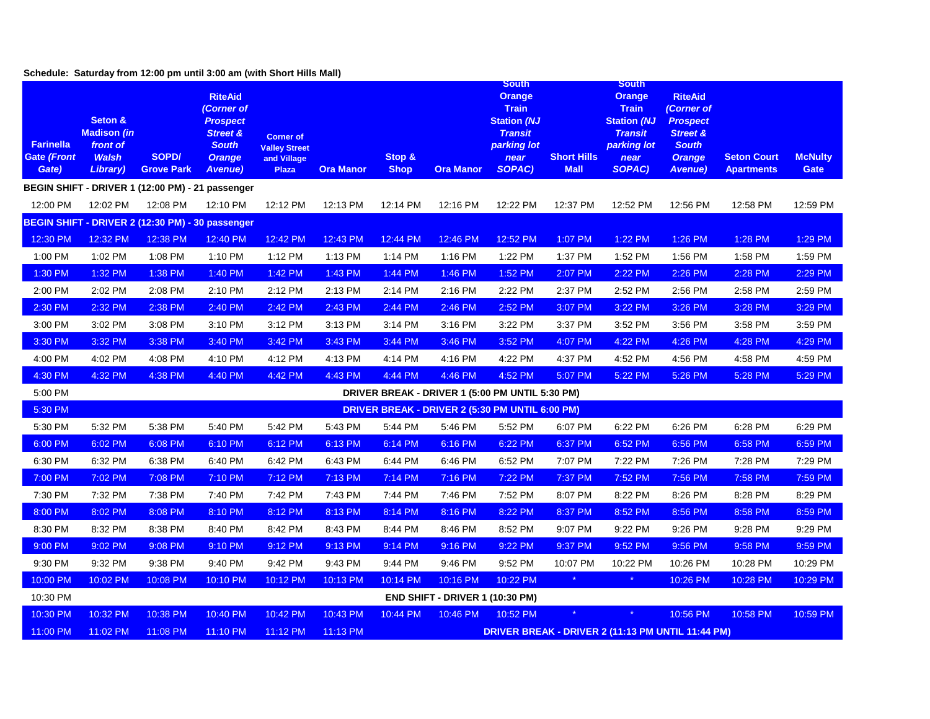|                                                 |                                                                               | Schedule: Saturday from 12:00 pm until 3:00 am (with Short Hills Mall) |                                                                                                                           |                                                                         |                  |                       |                                                 |                                                                                                                               |                                   |                                                                                                                               |                                                                                                                            |                                         |                               |
|-------------------------------------------------|-------------------------------------------------------------------------------|------------------------------------------------------------------------|---------------------------------------------------------------------------------------------------------------------------|-------------------------------------------------------------------------|------------------|-----------------------|-------------------------------------------------|-------------------------------------------------------------------------------------------------------------------------------|-----------------------------------|-------------------------------------------------------------------------------------------------------------------------------|----------------------------------------------------------------------------------------------------------------------------|-----------------------------------------|-------------------------------|
| <b>Farinella</b><br><b>Gate (Front</b><br>Gate) | Seton &<br><b>Madison</b> (in<br>front of<br><b>Walsh</b><br><b>Library</b> ) | SOPD/<br><b>Grove Park</b>                                             | <b>RiteAid</b><br>(Corner of<br><b>Prospect</b><br><b>Street &amp;</b><br><b>South</b><br><b>Orange</b><br><u>Avenue)</u> | <b>Corner of</b><br><b>Valley Street</b><br>and Village<br><b>Plaza</b> | <b>Ora Manor</b> | Stop &<br><b>Shop</b> | <b>Ora Manor</b>                                | <b>South</b><br><b>Orange</b><br><b>Train</b><br><b>Station (NJ</b><br><b>Transit</b><br>parking lot<br>near<br><b>SOPAC)</b> | <b>Short Hills</b><br><b>Mall</b> | <b>South</b><br><b>Orange</b><br><b>Train</b><br><b>Station (NJ</b><br><b>Transit</b><br>parking lot<br>near<br><b>SOPAC)</b> | <b>RiteAid</b><br>(Corner of<br><b>Prospect</b><br><b>Street &amp;</b><br><b>South</b><br><b>Orange</b><br><b>Avenue</b> ) | <b>Seton Court</b><br><b>Apartments</b> | <b>McNulty</b><br><b>Gate</b> |
|                                                 |                                                                               | BEGIN SHIFT - DRIVER 1 (12:00 PM) - 21 passenger                       |                                                                                                                           |                                                                         |                  |                       |                                                 |                                                                                                                               |                                   |                                                                                                                               |                                                                                                                            |                                         |                               |
| 12:00 PM                                        | 12:02 PM                                                                      | 12:08 PM                                                               | 12:10 PM                                                                                                                  | 12:12 PM                                                                | 12:13 PM         | 12:14 PM              | 12:16 PM                                        | 12:22 PM                                                                                                                      | 12:37 PM                          | 12:52 PM                                                                                                                      | 12:56 PM                                                                                                                   | 12:58 PM                                | 12:59 PM                      |
|                                                 |                                                                               | BEGIN SHIFT - DRIVER 2 (12:30 PM) - 30 passenger                       |                                                                                                                           |                                                                         |                  |                       |                                                 |                                                                                                                               |                                   |                                                                                                                               |                                                                                                                            |                                         |                               |
| 12:30 PM                                        | 12:32 PM                                                                      | 12:38 PM                                                               | 12:40 PM                                                                                                                  | 12:42 PM                                                                | 12:43 PM         | 12:44 PM              | 12:46 PM                                        | 12:52 PM                                                                                                                      | 1:07 PM                           | 1:22 PM                                                                                                                       | 1:26 PM                                                                                                                    | 1:28 PM                                 | 1:29 PM                       |
| 1:00 PM                                         | 1:02 PM                                                                       | 1:08 PM                                                                | 1:10 PM                                                                                                                   | 1:12 PM                                                                 | 1:13 PM          | 1:14 PM               | 1:16 PM                                         | 1:22 PM                                                                                                                       | 1:37 PM                           | 1:52 PM                                                                                                                       | 1:56 PM                                                                                                                    | 1:58 PM                                 | 1:59 PM                       |
| 1:30 PM                                         | 1:32 PM                                                                       | 1:38 PM                                                                | 1:40 PM                                                                                                                   | 1:42 PM                                                                 | 1:43 PM          | 1:44 PM               | 1:46 PM                                         | 1:52 PM                                                                                                                       | 2:07 PM                           | 2:22 PM                                                                                                                       | 2:26 PM                                                                                                                    | 2:28 PM                                 | 2:29 PM                       |
| 2:00 PM                                         | 2:02 PM                                                                       | 2:08 PM                                                                | 2:10 PM                                                                                                                   | 2:12 PM                                                                 | 2:13 PM          | 2:14 PM               | 2:16 PM                                         | 2:22 PM                                                                                                                       | 2:37 PM                           | 2:52 PM                                                                                                                       | 2:56 PM                                                                                                                    | 2:58 PM                                 | 2:59 PM                       |
| 2:30 PM                                         | 2:32 PM                                                                       | 2:38 PM                                                                | 2:40 PM                                                                                                                   | 2:42 PM                                                                 | 2:43 PM          | 2:44 PM               | 2:46 PM                                         | 2:52 PM                                                                                                                       | 3:07 PM                           | 3:22 PM                                                                                                                       | 3:26 PM                                                                                                                    | 3:28 PM                                 | 3:29 PM                       |
| 3:00 PM                                         | 3:02 PM                                                                       | 3:08 PM                                                                | 3:10 PM                                                                                                                   | 3:12 PM                                                                 | 3:13 PM          | 3:14 PM               | 3:16 PM                                         | 3:22 PM                                                                                                                       | 3:37 PM                           | 3:52 PM                                                                                                                       | 3:56 PM                                                                                                                    | 3:58 PM                                 | 3:59 PM                       |
| 3:30 PM                                         | 3:32 PM                                                                       | 3:38 PM                                                                | 3:40 PM                                                                                                                   | 3:42 PM                                                                 | 3:43 PM          | 3:44 PM               | 3:46 PM                                         | 3:52 PM                                                                                                                       | 4:07 PM                           | 4:22 PM                                                                                                                       | 4:26 PM                                                                                                                    | 4:28 PM                                 | 4:29 PM                       |
| 4:00 PM                                         | 4:02 PM                                                                       | 4:08 PM                                                                | 4:10 PM                                                                                                                   | 4:12 PM                                                                 | 4:13 PM          | 4:14 PM               | 4:16 PM                                         | 4:22 PM                                                                                                                       | 4:37 PM                           | 4:52 PM                                                                                                                       | 4:56 PM                                                                                                                    | 4:58 PM                                 | 4:59 PM                       |
| 4:30 PM                                         | 4:32 PM                                                                       | 4:38 PM                                                                | 4:40 PM                                                                                                                   | 4:42 PM                                                                 | 4:43 PM          | 4:44 PM               | 4:46 PM                                         | 4:52 PM                                                                                                                       | 5:07 PM                           | 5:22 PM                                                                                                                       | 5:26 PM                                                                                                                    | 5:28 PM                                 | 5:29 PM                       |
| 5:00 PM                                         |                                                                               |                                                                        |                                                                                                                           |                                                                         |                  |                       | DRIVER BREAK - DRIVER 1 (5:00 PM UNTIL 5:30 PM) |                                                                                                                               |                                   |                                                                                                                               |                                                                                                                            |                                         |                               |
| 5:30 PM                                         |                                                                               |                                                                        |                                                                                                                           |                                                                         |                  |                       | DRIVER BREAK - DRIVER 2 (5:30 PM UNTIL 6:00 PM) |                                                                                                                               |                                   |                                                                                                                               |                                                                                                                            |                                         |                               |
| 5:30 PM                                         | 5:32 PM                                                                       | 5:38 PM                                                                | 5:40 PM                                                                                                                   | 5:42 PM                                                                 | 5:43 PM          | 5:44 PM               | 5:46 PM                                         | 5:52 PM                                                                                                                       | 6:07 PM                           | 6:22 PM                                                                                                                       | 6:26 PM                                                                                                                    | 6:28 PM                                 | 6:29 PM                       |
| 6:00 PM                                         | 6:02 PM                                                                       | 6:08 PM                                                                | 6:10 PM                                                                                                                   | 6:12 PM                                                                 | 6:13 PM          | 6:14 PM               | 6:16 PM                                         | 6:22 PM                                                                                                                       | 6:37 PM                           | 6:52 PM                                                                                                                       | 6:56 PM                                                                                                                    | 6:58 PM                                 | 6:59 PM                       |
| 6:30 PM                                         | 6:32 PM                                                                       | 6:38 PM                                                                | 6:40 PM                                                                                                                   | 6:42 PM                                                                 | 6:43 PM          | 6:44 PM               | 6:46 PM                                         | 6:52 PM                                                                                                                       | 7:07 PM                           | 7:22 PM                                                                                                                       | 7:26 PM                                                                                                                    | 7:28 PM                                 | 7:29 PM                       |
| 7:00 PM                                         | 7:02 PM                                                                       | 7:08 PM                                                                | 7:10 PM                                                                                                                   | 7:12 PM                                                                 | 7:13 PM          | 7:14 PM               | 7:16 PM                                         | 7:22 PM                                                                                                                       | 7:37 PM                           | 7:52 PM                                                                                                                       | 7:56 PM                                                                                                                    | 7:58 PM                                 | 7:59 PM                       |
| 7:30 PM                                         | 7:32 PM                                                                       | 7:38 PM                                                                | 7:40 PM                                                                                                                   | 7:42 PM                                                                 | 7:43 PM          | 7:44 PM               | 7:46 PM                                         | 7:52 PM                                                                                                                       | 8:07 PM                           | 8:22 PM                                                                                                                       | 8:26 PM                                                                                                                    | 8:28 PM                                 | 8:29 PM                       |
| 8:00 PM                                         | 8:02 PM                                                                       | 8:08 PM                                                                | 8:10 PM                                                                                                                   | 8:12 PM                                                                 | 8:13 PM          | 8:14 PM               | 8:16 PM                                         | 8:22 PM                                                                                                                       | 8:37 PM                           | 8:52 PM                                                                                                                       | 8:56 PM                                                                                                                    | 8:58 PM                                 | 8:59 PM                       |
| 8:30 PM                                         | 8:32 PM                                                                       | 8:38 PM                                                                | 8:40 PM                                                                                                                   | 8:42 PM                                                                 | 8:43 PM          | 8:44 PM               | 8:46 PM                                         | 8:52 PM                                                                                                                       | 9:07 PM                           | 9:22 PM                                                                                                                       | 9:26 PM                                                                                                                    | 9:28 PM                                 | 9:29 PM                       |
| 9:00 PM                                         | 9:02 PM                                                                       | 9:08 PM                                                                | 9:10 PM                                                                                                                   | 9:12 PM                                                                 | 9:13 PM          | 9:14 PM               | 9:16 PM                                         | 9:22 PM                                                                                                                       | 9:37 PM                           | 9:52 PM                                                                                                                       | 9:56 PM                                                                                                                    | 9:58 PM                                 | 9:59 PM                       |
| 9:30 PM                                         | 9:32 PM                                                                       | 9:38 PM                                                                | 9:40 PM                                                                                                                   | 9:42 PM                                                                 | 9:43 PM          | 9:44 PM               | 9:46 PM                                         | 9:52 PM                                                                                                                       | 10:07 PM                          | 10:22 PM                                                                                                                      | 10:26 PM                                                                                                                   | 10:28 PM                                | 10:29 PM                      |
| 10:00 PM                                        | 10:02 PM                                                                      | 10:08 PM                                                               | 10:10 PM                                                                                                                  | 10:12 PM                                                                | 10:13 PM         | 10:14 PM              | 10:16 PM                                        | 10:22 PM                                                                                                                      | $\star$                           | $\star$                                                                                                                       | 10:26 PM                                                                                                                   | 10:28 PM                                | 10:29 PM                      |
| 10:30 PM                                        |                                                                               |                                                                        |                                                                                                                           |                                                                         |                  |                       | END SHIFT - DRIVER 1 (10:30 PM)                 |                                                                                                                               |                                   |                                                                                                                               |                                                                                                                            |                                         |                               |
| 10:30 PM                                        | 10:32 PM                                                                      | 10:38 PM                                                               | 10:40 PM                                                                                                                  | 10:42 PM                                                                | 10:43 PM         | 10:44 PM              | 10:46 PM                                        | 10:52 PM                                                                                                                      | $\star$                           |                                                                                                                               | 10:56 PM                                                                                                                   | 10:58 PM                                | 10:59 PM                      |
| 11:00 PM                                        | 11:02 PM                                                                      | 11:08 PM                                                               | 11:10 PM                                                                                                                  | 11:12 PM                                                                | 11:13 PM         |                       |                                                 |                                                                                                                               |                                   | <b>DRIVER BREAK - DRIVER 2 (11:13 PM UNTIL 11:44 PM)</b>                                                                      |                                                                                                                            |                                         |                               |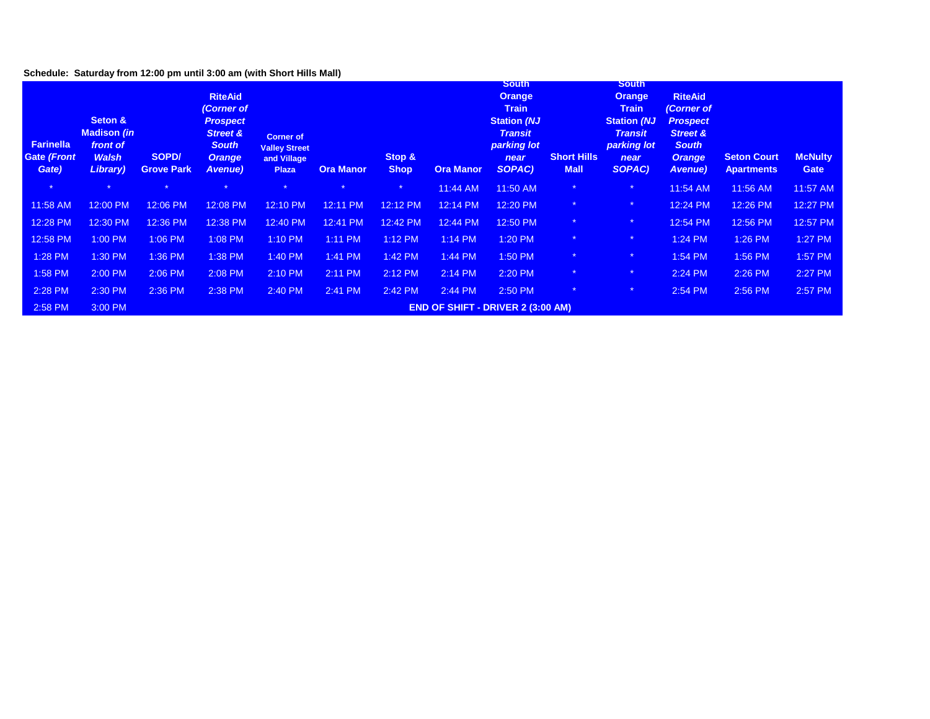## **Schedule: Saturday from 12:00 pm until 3:00 am (with Short Hills Mall)**

| <b>Farinella</b><br><b>Gate (Front</b><br>Gate) | Seton &<br><b>Madison (in</b><br>front of<br><b>Walsh</b><br>Library) | SOPD/<br><b>Grove Park</b> | <b>RiteAid</b><br>(Corner of<br><b>Prospect</b><br><b>Street &amp;</b><br><b>South</b><br>Orange<br>Avenue) | <b>Corner of</b><br><b>Valley Street</b><br>and Village<br><b>Plaza</b> | <b>Ora Manor</b> | Stop &<br><b>Shop</b> | <b>Ora Manor</b> | <b>South</b><br><b>Orange</b><br><b>Train</b><br><b>Station (NJ</b><br><b>Transit</b><br>parking lot<br>near<br>SOPAC) | <b>Short Hills</b><br><b>Mall</b> | <b>South</b><br>Orange,<br><b>Train</b><br><b>Station (NJ</b><br><b>Transit</b><br>parking lot<br>near<br>SOPAC) | <b>RiteAid</b><br>(Corner of<br><b>Prospect</b><br><b>Street &amp;</b><br><b>South</b><br><b>Orange</b><br>Avenue) | <b>Seton Court</b><br><b>Apartments</b> | <b>McNulty</b><br>Gate |
|-------------------------------------------------|-----------------------------------------------------------------------|----------------------------|-------------------------------------------------------------------------------------------------------------|-------------------------------------------------------------------------|------------------|-----------------------|------------------|------------------------------------------------------------------------------------------------------------------------|-----------------------------------|------------------------------------------------------------------------------------------------------------------|--------------------------------------------------------------------------------------------------------------------|-----------------------------------------|------------------------|
| $\star$                                         |                                                                       | $\star$                    |                                                                                                             | $\star$                                                                 | $\star$          | $\star$               | 11:44 AM         | 11:50 AM                                                                                                               | $\star$                           | $\star$                                                                                                          | 11:54 AM                                                                                                           | 11:56 AM                                | 11:57 AM               |
| 11:58 AM                                        | 12:00 PM                                                              | 12:06 PM                   | 12:08 PM                                                                                                    | 12:10 PM                                                                | 12:11 PM         | 12:12 PM              | 12:14 PM         | 12:20 PM                                                                                                               | $\star$                           | $\star$                                                                                                          | 12:24 PM                                                                                                           | 12:26 PM                                | 12:27 PM               |
| 12:28 PM                                        | 12:30 PM                                                              | 12:36 PM                   | 12:38 PM                                                                                                    | 12:40 PM                                                                | 12:41 PM         | 12:42 PM              | 12:44 PM         | 12:50 PM                                                                                                               | $\star$                           |                                                                                                                  | 12:54 PM                                                                                                           | 12:56 PM                                | 12:57 PM               |
| 12:58 PM                                        | 1:00 PM                                                               | 1:06 PM                    | 1:08 PM                                                                                                     | 1:10 PM                                                                 | 1:11 PM          | $1:12$ PM             | $1:14$ PM        | 1:20 PM                                                                                                                | $\star$                           | $\star$                                                                                                          | 1:24 PM                                                                                                            | 1:26 PM                                 | 1:27 PM                |
| 1:28 PM                                         | 1:30 PM                                                               | 1:36 PM                    | 1:38 PM                                                                                                     | 1:40 PM                                                                 | 1:41 PM          | 1:42 PM               | 1:44 PM          | 1:50 PM                                                                                                                | $\star$                           | $\star$                                                                                                          | 1:54 PM                                                                                                            | 1:56 PM                                 | 1:57 PM                |
| 1:58 PM                                         | 2:00 PM                                                               | 2:06 PM                    | 2:08 PM                                                                                                     | 2:10 PM                                                                 | 2:11 PM          | 2:12 PM               | $2:14$ PM        | 2:20 PM                                                                                                                | $\star$                           | $*$                                                                                                              | 2:24 PM                                                                                                            | 2:26 PM                                 | 2:27 PM                |
| 2:28 PM                                         | 2:30 PM                                                               | 2:36 PM                    | 2:38 PM                                                                                                     | 2:40 PM                                                                 | 2:41 PM          | 2:42 PM               | 2:44 PM          | 2:50 PM                                                                                                                | $\star$                           | $\star$                                                                                                          | 2:54 PM                                                                                                            | 2:56 PM                                 | 2:57 PM                |
| 2:58 PM                                         | 3:00 PM                                                               |                            |                                                                                                             |                                                                         |                  |                       |                  | <b>END OF SHIFT - DRIVER 2 (3:00 AM)</b>                                                                               |                                   |                                                                                                                  |                                                                                                                    |                                         |                        |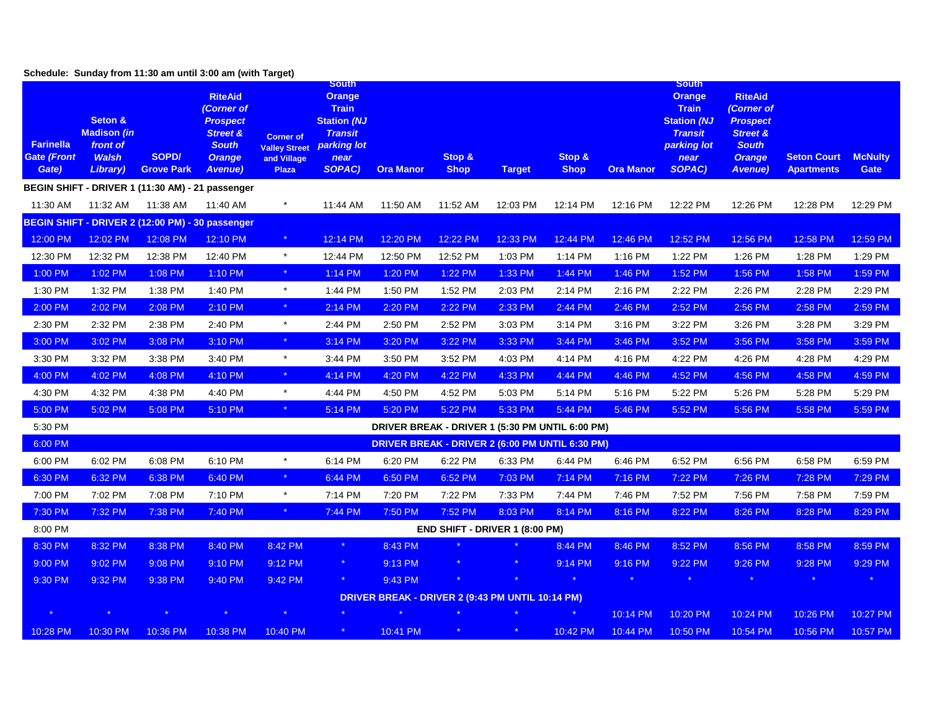|                                                 |                                                                       | Schedule: Sunday from 11:30 am until 3:00 am (with Target) |                                                                                                                            |                                                                         |                                                                                                                        |                                                        |                                |               |                       |                  |                                                                                                                        |                                                                                                                           |                                         |                               |
|-------------------------------------------------|-----------------------------------------------------------------------|------------------------------------------------------------|----------------------------------------------------------------------------------------------------------------------------|-------------------------------------------------------------------------|------------------------------------------------------------------------------------------------------------------------|--------------------------------------------------------|--------------------------------|---------------|-----------------------|------------------|------------------------------------------------------------------------------------------------------------------------|---------------------------------------------------------------------------------------------------------------------------|-----------------------------------------|-------------------------------|
| <b>Farinella</b><br><b>Gate (Front</b><br>Gate) | Seton &<br><b>Madison (in</b><br>front of<br><b>Walsh</b><br>Library) | SOPD/<br><b>Grove Park</b>                                 | <b>RiteAid</b><br>(Corner of<br><b>Prospect</b><br><b>Street &amp;</b><br><b>South</b><br><b>Orange</b><br><b>Avenue</b> ) | <b>Corner of</b><br><b>Valley Street</b><br>and Village<br><b>Plaza</b> | <b>South</b><br><b>Orange</b><br><b>Train</b><br><b>Station (NJ</b><br><b>Transit</b><br>parking lot<br>near<br>SOPAC) | <b>Ora Manor</b>                                       | Stop &<br><b>Shop</b>          | <b>Target</b> | Stop &<br><b>Shop</b> | <b>Ora Manor</b> | <b>South</b><br><b>Orange</b><br><b>Train</b><br><b>Station (NJ</b><br><b>Transit</b><br>parking lot<br>near<br>SOPAC) | <b>RiteAid</b><br>(Corner of<br><b>Prospect</b><br><b>Street &amp;</b><br><b>South</b><br><b>Orange</b><br><b>Avenue)</b> | <b>Seton Court</b><br><b>Apartments</b> | <b>McNulty</b><br><b>Gate</b> |
|                                                 |                                                                       | BEGIN SHIFT - DRIVER 1 (11:30 AM) - 21 passenger           |                                                                                                                            |                                                                         |                                                                                                                        |                                                        |                                |               |                       |                  |                                                                                                                        |                                                                                                                           |                                         |                               |
| 11:30 AM                                        | 11:32 AM                                                              | 11:38 AM                                                   | 11:40 AM                                                                                                                   | $\star$                                                                 | 11:44 AM                                                                                                               | 11:50 AM                                               | 11:52 AM                       | 12:03 PM      | 12:14 PM              | 12:16 PM         | 12:22 PM                                                                                                               | 12:26 PM                                                                                                                  | 12:28 PM                                | 12:29 PM                      |
|                                                 |                                                                       | BEGIN SHIFT - DRIVER 2 (12:00 PM) - 30 passenger           |                                                                                                                            |                                                                         |                                                                                                                        |                                                        |                                |               |                       |                  |                                                                                                                        |                                                                                                                           |                                         |                               |
| 12:00 PM                                        | 12:02 PM                                                              | 12:08 PM                                                   | 12:10 PM                                                                                                                   | $\star$                                                                 | 12:14 PM                                                                                                               | 12:20 PM                                               | 12:22 PM                       | 12:33 PM      | 12:44 PM              | 12:46 PM         | 12:52 PM                                                                                                               | 12:56 PM                                                                                                                  | 12:58 PM                                | 12:59 PM                      |
| 12:30 PM                                        | 12:32 PM                                                              | 12:38 PM                                                   | 12:40 PM                                                                                                                   | $\star$                                                                 | 12:44 PM                                                                                                               | 12:50 PM                                               | 12:52 PM                       | 1:03 PM       | 1:14 PM               | 1:16 PM          | 1:22 PM                                                                                                                | 1:26 PM                                                                                                                   | 1:28 PM                                 | 1:29 PM                       |
| 1:00 PM                                         | 1:02 PM                                                               | 1:08 PM                                                    | 1:10 PM                                                                                                                    | $\langle \star \rangle$                                                 | 1:14 PM                                                                                                                | 1:20 PM                                                | 1:22 PM                        | 1:33 PM       | 1:44 PM               | 1:46 PM          | 1:52 PM                                                                                                                | 1:56 PM                                                                                                                   | 1:58 PM                                 | 1:59 PM                       |
| 1:30 PM                                         | 1:32 PM                                                               | 1:38 PM                                                    | 1:40 PM                                                                                                                    | $\star$                                                                 | 1:44 PM                                                                                                                | 1:50 PM                                                | 1:52 PM                        | 2:03 PM       | 2:14 PM               | 2:16 PM          | 2:22 PM                                                                                                                | 2:26 PM                                                                                                                   | 2:28 PM                                 | 2:29 PM                       |
| 2:00 PM                                         | 2:02 PM                                                               | 2:08 PM                                                    | 2:10 PM                                                                                                                    | $\star$                                                                 | 2:14 PM                                                                                                                | 2:20 PM                                                | 2:22 PM                        | 2:33 PM       | 2:44 PM               | 2:46 PM          | 2:52 PM                                                                                                                | 2:56 PM                                                                                                                   | 2:58 PM                                 | 2:59 PM                       |
| 2:30 PM                                         | 2:32 PM                                                               | 2:38 PM                                                    | 2:40 PM                                                                                                                    | $\star$                                                                 | 2:44 PM                                                                                                                | 2:50 PM                                                | 2:52 PM                        | 3:03 PM       | 3:14 PM               | 3:16 PM          | 3:22 PM                                                                                                                | 3:26 PM                                                                                                                   | 3:28 PM                                 | 3:29 PM                       |
| 3:00 PM                                         | 3:02 PM                                                               | 3:08 PM                                                    | 3:10 PM                                                                                                                    | $\langle \star \rangle$                                                 | 3:14 PM                                                                                                                | 3:20 PM                                                | 3:22 PM                        | 3:33 PM       | 3:44 PM               | 3:46 PM          | 3:52 PM                                                                                                                | 3:56 PM                                                                                                                   | 3:58 PM                                 | 3:59 PM                       |
| 3:30 PM                                         | 3:32 PM                                                               | 3:38 PM                                                    | 3:40 PM                                                                                                                    | $\star$                                                                 | 3:44 PM                                                                                                                | 3:50 PM                                                | 3:52 PM                        | 4:03 PM       | 4:14 PM               | 4:16 PM          | 4:22 PM                                                                                                                | 4:26 PM                                                                                                                   | 4:28 PM                                 | 4:29 PM                       |
| 4:00 PM                                         | 4:02 PM                                                               | 4:08 PM                                                    | $4:10$ PM                                                                                                                  |                                                                         | 4:14 PM                                                                                                                | 4:20 PM                                                | 4:22 PM                        | 4:33 PM       | 4:44 PM               | 4:46 PM          | 4:52 PM                                                                                                                | 4:56 PM                                                                                                                   | 4:58 PM                                 | 4:59 PM                       |
| 4:30 PM                                         | 4:32 PM                                                               | 4:38 PM                                                    | 4:40 PM                                                                                                                    | $\star$                                                                 | 4:44 PM                                                                                                                | 4:50 PM                                                | 4:52 PM                        | 5:03 PM       | 5:14 PM               | 5:16 PM          | 5:22 PM                                                                                                                | 5:26 PM                                                                                                                   | 5:28 PM                                 | 5:29 PM                       |
| 5:00 PM                                         | 5:02 PM                                                               | 5:08 PM                                                    | 5:10 PM                                                                                                                    | $\star$                                                                 | 5:14 PM                                                                                                                | 5:20 PM                                                | 5:22 PM                        | 5:33 PM       | 5:44 PM               | 5:46 PM          | 5:52 PM                                                                                                                | 5:56 PM                                                                                                                   | 5:58 PM                                 | 5:59 PM                       |
| 5:30 PM                                         |                                                                       |                                                            |                                                                                                                            |                                                                         |                                                                                                                        | DRIVER BREAK - DRIVER 1 (5:30 PM UNTIL 6:00 PM)        |                                |               |                       |                  |                                                                                                                        |                                                                                                                           |                                         |                               |
| 6:00 PM                                         |                                                                       |                                                            |                                                                                                                            |                                                                         |                                                                                                                        | <b>DRIVER BREAK - DRIVER 2 (6:00 PM UNTIL 6:30 PM)</b> |                                |               |                       |                  |                                                                                                                        |                                                                                                                           |                                         |                               |
| 6:00 PM                                         | 6:02 PM                                                               | 6:08 PM                                                    | 6:10 PM                                                                                                                    | $^\star$                                                                | 6:14 PM                                                                                                                | 6:20 PM                                                | 6:22 PM                        | 6:33 PM       | 6:44 PM               | 6:46 PM          | 6:52 PM                                                                                                                | 6:56 PM                                                                                                                   | 6:58 PM                                 | 6:59 PM                       |
| 6:30 PM                                         | 6:32 PM                                                               | 6:38 PM                                                    | 6:40 PM                                                                                                                    | $\star$                                                                 | 6:44 PM                                                                                                                | 6:50 PM                                                | 6:52 PM                        | 7:03 PM       | 7:14 PM               | 7:16 PM          | 7:22 PM                                                                                                                | 7:26 PM                                                                                                                   | 7:28 PM                                 | 7:29 PM                       |
| 7:00 PM                                         | 7:02 PM                                                               | 7:08 PM                                                    | 7:10 PM                                                                                                                    | $\star$                                                                 | 7:14 PM                                                                                                                | 7:20 PM                                                | 7:22 PM                        | 7:33 PM       | 7:44 PM               | 7:46 PM          | 7:52 PM                                                                                                                | 7:56 PM                                                                                                                   | 7:58 PM                                 | 7:59 PM                       |
| 7:30 PM                                         | 7:32 PM                                                               | 7:38 PM                                                    | 7:40 PM                                                                                                                    | $\star$                                                                 | 7:44 PM                                                                                                                | 7:50 PM                                                | 7:52 PM                        | 8:03 PM       | 8:14 PM               | 8:16 PM          | 8:22 PM                                                                                                                | 8:26 PM                                                                                                                   | 8:28 PM                                 | 8:29 PM                       |
| 8:00 PM                                         |                                                                       |                                                            |                                                                                                                            |                                                                         |                                                                                                                        |                                                        | END SHIFT - DRIVER 1 (8:00 PM) |               |                       |                  |                                                                                                                        |                                                                                                                           |                                         |                               |
| 8:30 PM                                         | 8:32 PM                                                               | 8:38 PM                                                    | 8:40 PM                                                                                                                    | 8:42 PM                                                                 | $\star$                                                                                                                | 8:43 PM                                                |                                |               | 8:44 PM               | 8:46 PM          | 8:52 PM                                                                                                                | 8:56 PM                                                                                                                   | 8:58 PM                                 | 8:59 PM                       |
| 9:00 PM                                         | 9:02 PM                                                               | 9:08 PM                                                    | 9:10 PM                                                                                                                    | 9:12 PM                                                                 | $\star$                                                                                                                | 9:13 PM                                                |                                | $\star$       | 9:14 PM               | 9:16 PM          | 9:22 PM                                                                                                                | 9:26 PM                                                                                                                   | 9:28 PM                                 | 9:29 PM                       |
| 9:30 PM                                         | 9:32 PM                                                               | 9:38 PM                                                    | 9:40 PM                                                                                                                    | 9:42 PM                                                                 | $\star$                                                                                                                | 9:43 PM                                                |                                |               |                       |                  |                                                                                                                        |                                                                                                                           |                                         | $\star$                       |
|                                                 |                                                                       |                                                            |                                                                                                                            |                                                                         |                                                                                                                        | DRIVER BREAK - DRIVER 2 (9:43 PM UNTIL 10:14 PM)       |                                |               |                       |                  |                                                                                                                        |                                                                                                                           |                                         |                               |
|                                                 |                                                                       |                                                            |                                                                                                                            | $\star$                                                                 |                                                                                                                        |                                                        |                                |               |                       | 10:14 PM         | 10:20 PM                                                                                                               | 10:24 PM                                                                                                                  | 10:26 PM                                | 10:27 PM                      |
| 10:28 PM                                        | 10:30 PM                                                              | 10:36 PM                                                   | 10:38 PM                                                                                                                   | 10:40 PM                                                                | $\star$                                                                                                                | 10:41 PM                                               | $\star$                        | $\star$       | 10:42 PM              | 10:44 PM         | 10:50 PM                                                                                                               | 10:54 PM                                                                                                                  | 10:56 PM                                | 10:57 PM                      |